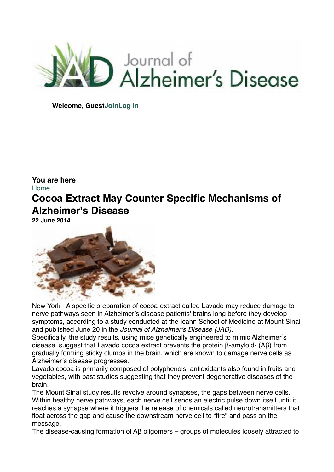

**Welcome, Gues[tJoin](http://www.j-alz.com/user/register)[Log In](http://www.j-alz.com/user/login)**

## **You are here** [Home](http://www.j-alz.com/) **Cocoa Extract May Counter Specific Mechanisms of Alzheimer's Disease**

**22 June 2014**



New York - A specific preparation of cocoa-extract called Lavado may reduce damage to nerve pathways seen in Alzheimer's disease patients' brains long before they develop symptoms, according to a study conducted at the Icahn School of Medicine at Mount Sinai and published June 20 in the *Journal of Alzheimer's Disease (JAD)*.

Specifically, the study results, using mice genetically engineered to mimic Alzheimer's disease, suggest that Lavado cocoa extract prevents the protein β-amyloid- (Aβ) from gradually forming sticky clumps in the brain, which are known to damage nerve cells as Alzheimer's disease progresses.

Lavado cocoa is primarily composed of polyphenols, antioxidants also found in fruits and vegetables, with past studies suggesting that they prevent degenerative diseases of the brain.

The Mount Sinai study results revolve around synapses, the gaps between nerve cells. Within healthy nerve pathways, each nerve cell sends an electric pulse down itself until it reaches a synapse where it triggers the release of chemicals called neurotransmitters that float across the gap and cause the downstream nerve cell to "fire" and pass on the message.

The disease-causing formation of Aβ oligomers – groups of molecules loosely attracted to